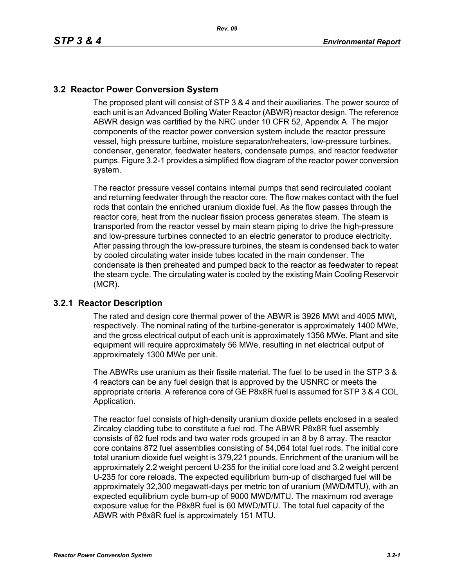## **3.2 Reactor Power Conversion System**

The proposed plant will consist of STP 3 & 4 and their auxiliaries. The power source of each unit is an Advanced Boiling Water Reactor (ABWR) reactor design. The reference ABWR design was certified by the NRC under 10 CFR 52, Appendix A. The major components of the reactor power conversion system include the reactor pressure vessel, high pressure turbine, moisture separator/reheaters, low-pressure turbines, condenser, generator, feedwater heaters, condensate pumps, and reactor feedwater pumps. Figure 3.2-1 provides a simplified flow diagram of the reactor power conversion system.

The reactor pressure vessel contains internal pumps that send recirculated coolant and returning feedwater through the reactor core. The flow makes contact with the fuel rods that contain the enriched uranium dioxide fuel. As the flow passes through the reactor core, heat from the nuclear fission process generates steam. The steam is transported from the reactor vessel by main steam piping to drive the high-pressure and low-pressure turbines connected to an electric generator to produce electricity. After passing through the low-pressure turbines, the steam is condensed back to water by cooled circulating water inside tubes located in the main condenser. The condensate is then preheated and pumped back to the reactor as feedwater to repeat the steam cycle. The circulating water is cooled by the existing Main Cooling Reservoir (MCR).

## **3.2.1 Reactor Description**

The rated and design core thermal power of the ABWR is 3926 MWt and 4005 MWt, respectively. The nominal rating of the turbine-generator is approximately 1400 MWe, and the gross electrical output of each unit is approximately 1356 MWe. Plant and site equipment will require approximately 56 MWe, resulting in net electrical output of approximately 1300 MWe per unit.

The ABWRs use uranium as their fissile material. The fuel to be used in the STP 3 & 4 reactors can be any fuel design that is approved by the USNRC or meets the appropriate criteria. A reference core of GE P8x8R fuel is assumed for STP 3 & 4 COL Application.

The reactor fuel consists of high-density uranium dioxide pellets enclosed in a sealed Zircaloy cladding tube to constitute a fuel rod. The ABWR P8x8R fuel assembly consists of 62 fuel rods and two water rods grouped in an 8 by 8 array. The reactor core contains 872 fuel assemblies consisting of 54,064 total fuel rods. The initial core total uranium dioxide fuel weight is 379,221 pounds. Enrichment of the uranium will be approximately 2.2 weight percent U-235 for the initial core load and 3.2 weight percent U-235 for core reloads. The expected equilibrium burn-up of discharged fuel will be approximately 32,300 megawatt-days per metric ton of uranium (MWD/MTU), with an expected equilibrium cycle burn-up of 9000 MWD/MTU. The maximum rod average exposure value for the P8x8R fuel is 60 MWD/MTU. The total fuel capacity of the ABWR with P8x8R fuel is approximately 151 MTU.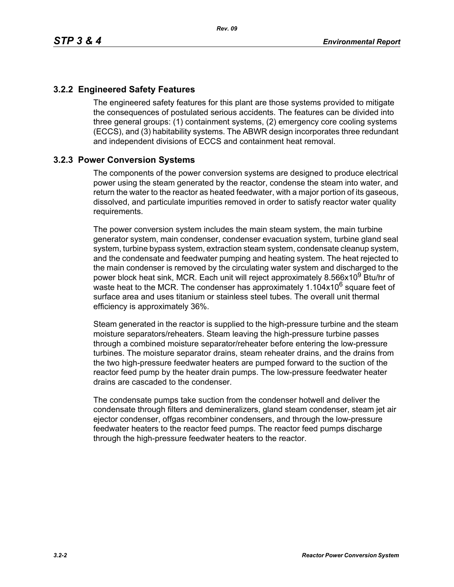## **3.2.2 Engineered Safety Features**

The engineered safety features for this plant are those systems provided to mitigate the consequences of postulated serious accidents. The features can be divided into three general groups: (1) containment systems, (2) emergency core cooling systems (ECCS), and (3) habitability systems. The ABWR design incorporates three redundant and independent divisions of ECCS and containment heat removal.

## **3.2.3 Power Conversion Systems**

The components of the power conversion systems are designed to produce electrical power using the steam generated by the reactor, condense the steam into water, and return the water to the reactor as heated feedwater, with a major portion of its gaseous, dissolved, and particulate impurities removed in order to satisfy reactor water quality requirements.

The power conversion system includes the main steam system, the main turbine generator system, main condenser, condenser evacuation system, turbine gland seal system, turbine bypass system, extraction steam system, condensate cleanup system, and the condensate and feedwater pumping and heating system. The heat rejected to the main condenser is removed by the circulating water system and discharged to the power block heat sink, MCR. Each unit will reject approximately 8.566x10<sup>9</sup> Btu/hr of waste heat to the MCR. The condenser has approximately  $1.104x10^6$  square feet of surface area and uses titanium or stainless steel tubes. The overall unit thermal efficiency is approximately 36%.

Steam generated in the reactor is supplied to the high-pressure turbine and the steam moisture separators/reheaters. Steam leaving the high-pressure turbine passes through a combined moisture separator/reheater before entering the low-pressure turbines. The moisture separator drains, steam reheater drains, and the drains from the two high-pressure feedwater heaters are pumped forward to the suction of the reactor feed pump by the heater drain pumps. The low-pressure feedwater heater drains are cascaded to the condenser.

The condensate pumps take suction from the condenser hotwell and deliver the condensate through filters and demineralizers, gland steam condenser, steam jet air ejector condenser, offgas recombiner condensers, and through the low-pressure feedwater heaters to the reactor feed pumps. The reactor feed pumps discharge through the high-pressure feedwater heaters to the reactor.